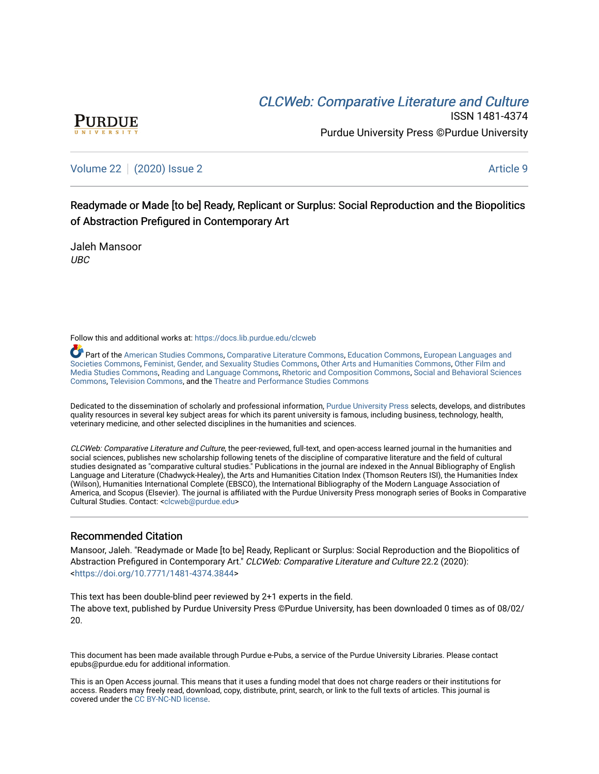# CLCW[eb: Comparative Liter](https://docs.lib.purdue.edu/clcweb)ature and Culture



ISSN 1481-4374 Purdue University Press ©Purdue University

[Volume 22](https://docs.lib.purdue.edu/clcweb/vol22) | [\(2020\) Issue 2](https://docs.lib.purdue.edu/clcweb/vol22/iss2) Article 9

Readymade or Made [to be] Ready, Replicant or Surplus: Social Reproduction and the Biopolitics of Abstraction Prefigured in Contemporary Art

Jaleh Mansoor UBC

Follow this and additional works at: [https://docs.lib.purdue.edu/clcweb](https://docs.lib.purdue.edu/clcweb?utm_source=docs.lib.purdue.edu%2Fclcweb%2Fvol22%2Fiss2%2F9&utm_medium=PDF&utm_campaign=PDFCoverPages)

Part of the [American Studies Commons](http://network.bepress.com/hgg/discipline/439?utm_source=docs.lib.purdue.edu%2Fclcweb%2Fvol22%2Fiss2%2F9&utm_medium=PDF&utm_campaign=PDFCoverPages), [Comparative Literature Commons,](http://network.bepress.com/hgg/discipline/454?utm_source=docs.lib.purdue.edu%2Fclcweb%2Fvol22%2Fiss2%2F9&utm_medium=PDF&utm_campaign=PDFCoverPages) [Education Commons,](http://network.bepress.com/hgg/discipline/784?utm_source=docs.lib.purdue.edu%2Fclcweb%2Fvol22%2Fiss2%2F9&utm_medium=PDF&utm_campaign=PDFCoverPages) [European Languages and](http://network.bepress.com/hgg/discipline/482?utm_source=docs.lib.purdue.edu%2Fclcweb%2Fvol22%2Fiss2%2F9&utm_medium=PDF&utm_campaign=PDFCoverPages) [Societies Commons](http://network.bepress.com/hgg/discipline/482?utm_source=docs.lib.purdue.edu%2Fclcweb%2Fvol22%2Fiss2%2F9&utm_medium=PDF&utm_campaign=PDFCoverPages), [Feminist, Gender, and Sexuality Studies Commons,](http://network.bepress.com/hgg/discipline/559?utm_source=docs.lib.purdue.edu%2Fclcweb%2Fvol22%2Fiss2%2F9&utm_medium=PDF&utm_campaign=PDFCoverPages) [Other Arts and Humanities Commons](http://network.bepress.com/hgg/discipline/577?utm_source=docs.lib.purdue.edu%2Fclcweb%2Fvol22%2Fiss2%2F9&utm_medium=PDF&utm_campaign=PDFCoverPages), [Other Film and](http://network.bepress.com/hgg/discipline/565?utm_source=docs.lib.purdue.edu%2Fclcweb%2Fvol22%2Fiss2%2F9&utm_medium=PDF&utm_campaign=PDFCoverPages)  [Media Studies Commons](http://network.bepress.com/hgg/discipline/565?utm_source=docs.lib.purdue.edu%2Fclcweb%2Fvol22%2Fiss2%2F9&utm_medium=PDF&utm_campaign=PDFCoverPages), [Reading and Language Commons](http://network.bepress.com/hgg/discipline/1037?utm_source=docs.lib.purdue.edu%2Fclcweb%2Fvol22%2Fiss2%2F9&utm_medium=PDF&utm_campaign=PDFCoverPages), [Rhetoric and Composition Commons,](http://network.bepress.com/hgg/discipline/573?utm_source=docs.lib.purdue.edu%2Fclcweb%2Fvol22%2Fiss2%2F9&utm_medium=PDF&utm_campaign=PDFCoverPages) [Social and Behavioral Sciences](http://network.bepress.com/hgg/discipline/316?utm_source=docs.lib.purdue.edu%2Fclcweb%2Fvol22%2Fiss2%2F9&utm_medium=PDF&utm_campaign=PDFCoverPages) [Commons,](http://network.bepress.com/hgg/discipline/316?utm_source=docs.lib.purdue.edu%2Fclcweb%2Fvol22%2Fiss2%2F9&utm_medium=PDF&utm_campaign=PDFCoverPages) [Television Commons,](http://network.bepress.com/hgg/discipline/1143?utm_source=docs.lib.purdue.edu%2Fclcweb%2Fvol22%2Fiss2%2F9&utm_medium=PDF&utm_campaign=PDFCoverPages) and the [Theatre and Performance Studies Commons](http://network.bepress.com/hgg/discipline/552?utm_source=docs.lib.purdue.edu%2Fclcweb%2Fvol22%2Fiss2%2F9&utm_medium=PDF&utm_campaign=PDFCoverPages)

Dedicated to the dissemination of scholarly and professional information, [Purdue University Press](http://www.thepress.purdue.edu/) selects, develops, and distributes quality resources in several key subject areas for which its parent university is famous, including business, technology, health, veterinary medicine, and other selected disciplines in the humanities and sciences.

CLCWeb: Comparative Literature and Culture, the peer-reviewed, full-text, and open-access learned journal in the humanities and social sciences, publishes new scholarship following tenets of the discipline of comparative literature and the field of cultural studies designated as "comparative cultural studies." Publications in the journal are indexed in the Annual Bibliography of English Language and Literature (Chadwyck-Healey), the Arts and Humanities Citation Index (Thomson Reuters ISI), the Humanities Index (Wilson), Humanities International Complete (EBSCO), the International Bibliography of the Modern Language Association of America, and Scopus (Elsevier). The journal is affiliated with the Purdue University Press monograph series of Books in Comparative Cultural Studies. Contact: [<clcweb@purdue.edu](mailto:clcweb@purdue.edu)>

# Recommended Citation

Mansoor, Jaleh. "Readymade or Made [to be] Ready, Replicant or Surplus: Social Reproduction and the Biopolitics of Abstraction Prefigured in Contemporary Art." CLCWeb: Comparative Literature and Culture 22.2 (2020): <<https://doi.org/10.7771/1481-4374.3844>>

This text has been double-blind peer reviewed by 2+1 experts in the field. The above text, published by Purdue University Press ©Purdue University, has been downloaded 0 times as of 08/02/ 20.

This document has been made available through Purdue e-Pubs, a service of the Purdue University Libraries. Please contact epubs@purdue.edu for additional information.

This is an Open Access journal. This means that it uses a funding model that does not charge readers or their institutions for access. Readers may freely read, download, copy, distribute, print, search, or link to the full texts of articles. This journal is covered under the [CC BY-NC-ND license.](https://creativecommons.org/licenses/by-nc-nd/4.0/)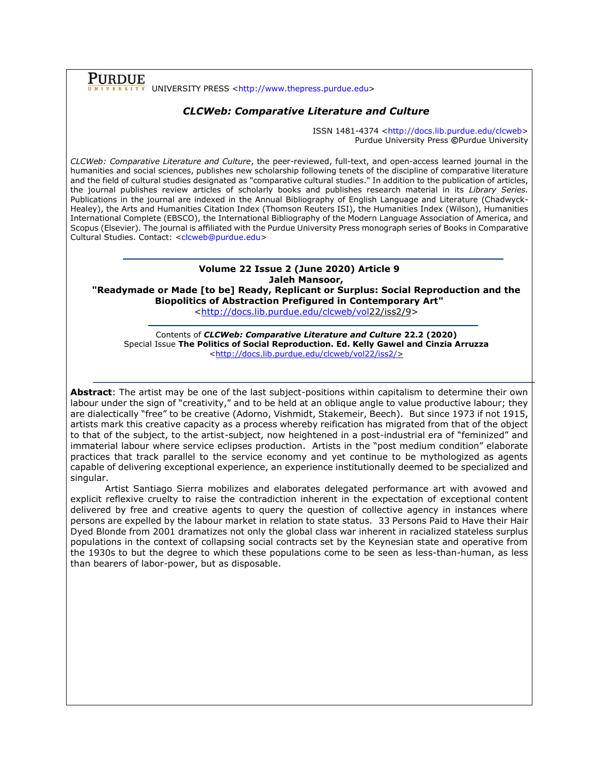### Purdue UNIVERSITY PRESS [<http://www.thepress.purdue.edu>](http://www.thepress.purdue.edu/)

# *CLCWeb: Comparative Literature and Culture*

ISSN 1481-4374 [<http://docs.lib.purdue.edu/clcweb>](http://docs.lib.purdue.edu/clcweb) Purdue University Press **©**Purdue University

*CLCWeb: Comparative Literature and Culture*, the peer-reviewed, full-text, and open-access learned journal in the humanities and social sciences, publishes new scholarship following tenets of the discipline of comparative literature and the field of cultural studies designated as "comparative cultural studies." In addition to the publication of articles, the journal publishes review articles of scholarly books and publishes research material in its *Library Series.*  Publications in the journal are indexed in the Annual Bibliography of English Language and Literature (Chadwyck-Healey), the Arts and Humanities Citation Index (Thomson Reuters ISI), the Humanities Index (Wilson), Humanities International Complete (EBSCO), the International Bibliography of the Modern Language Association of America, and Scopus (Elsevier). The journal is affiliated with the Purdue University Press monograph series of Books in Comparative Cultural Studies. Contact: [<clcweb@purdue.edu>](mailto:clcweb@purdue.edu)

# **Volume 22 Issue 2 (June 2020) Article 9 Jaleh Mansoor,**

**"Readymade or Made [to be] Ready, Replicant or Surplus: Social Reproduction and the Biopolitics of Abstraction Prefigured in Contemporary Art"**

[<http://docs.lib.purdue.edu/clcweb/vol2](http://docs.lib.purdue.edu/clcweb/vol)2/iss2/9>

Contents of *CLCWeb: Comparative Literature and Culture* **22.2 (2020)** Special Issue **The Politics of Social Reproduction. Ed. Kelly Gawel and Cinzia Arruzza** [<http://docs.lib.purdue.edu/clcweb/vol22/iss2/>](http://docs.lib.purdue.edu/clcweb/vol18/iss5/)

**Abstract**: The artist may be one of the last subject-positions within capitalism to determine their own labour under the sign of "creativity," and to be held at an oblique angle to value productive labour; they are dialectically "free" to be creative (Adorno, Vishmidt, Stakemeir, Beech). But since 1973 if not 1915, artists mark this creative capacity as a process whereby reification has migrated from that of the object to that of the subject, to the artist-subject, now heightened in a post-industrial era of "feminized" and immaterial labour where service eclipses production. Artists in the "post medium condition" elaborate practices that track parallel to the service economy and yet continue to be mythologized as agents capable of delivering exceptional experience, an experience institutionally deemed to be specialized and singular.

Artist Santiago Sierra mobilizes and elaborates delegated performance art with avowed and explicit reflexive cruelty to raise the contradiction inherent in the expectation of exceptional content delivered by free and creative agents to query the question of collective agency in instances where persons are expelled by the labour market in relation to state status. 33 Persons Paid to Have their Hair Dyed Blonde from 2001 dramatizes not only the global class war inherent in racialized stateless surplus populations in the context of collapsing social contracts set by the Keynesian state and operative from the 1930s to but the degree to which these populations come to be seen as less-than-human, as less than bearers of labor-power, but as disposable.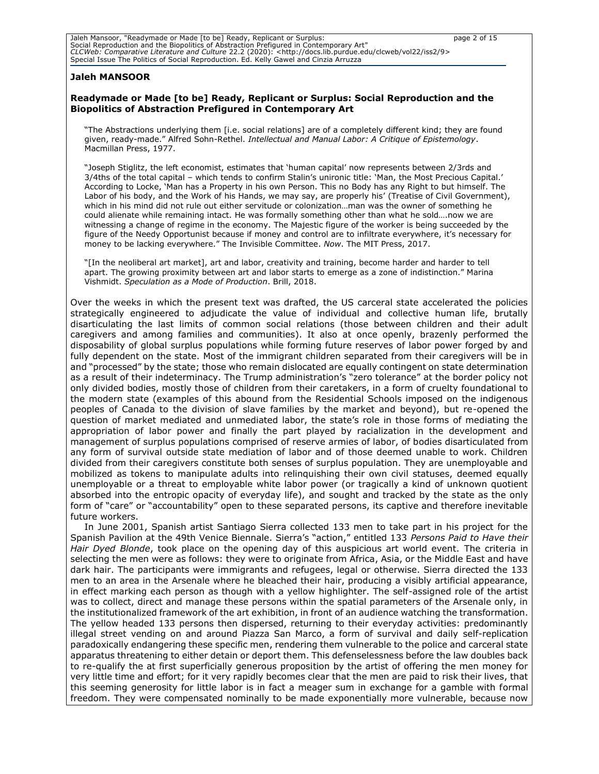Jaleh Mansoor, "Readymade or Made [to be] Ready, Replicant or Surplus: page 2 of 15 Social Reproduction and the Biopolitics of Abstraction Prefigured in Contemporary Art" *CLCWeb: Comparative Literature and Culture* 22.2 (2020): <http://docs.lib.purdue.edu/clcweb/vol22/iss2/9> Special Issue The Politics of Social Reproduction. Ed. Kelly Gawel and Cinzia Arruzza

#### **Jaleh MANSOOR**

#### **Readymade or Made [to be] Ready, Replicant or Surplus: Social Reproduction and the Biopolitics of Abstraction Prefigured in Contemporary Art**

"The Abstractions underlying them [i.e. social relations] are of a completely different kind; they are found given, ready-made." Alfred Sohn-Rethel. *Intellectual and Manual Labor: A Critique of Epistemology*. Macmillan Press, 1977.

"Joseph Stiglitz, the left economist, estimates that 'human capital' now represents between 2/3rds and 3/4ths of the total capital – which tends to confirm Stalin's unironic title: 'Man, the Most Precious Capital.' According to Locke, 'Man has a Property in his own Person. This no Body has any Right to but himself. The Labor of his body, and the Work of his Hands, we may say, are properly his' (Treatise of Civil Government), which in his mind did not rule out either servitude or colonization…man was the owner of something he could alienate while remaining intact. He was formally something other than what he sold….now we are witnessing a change of regime in the economy. The Majestic figure of the worker is being succeeded by the figure of the Needy Opportunist because if money and control are to infiltrate everywhere, it's necessary for money to be lacking everywhere." The Invisible Committee. *Now*. The MIT Press, 2017.

"[In the neoliberal art market], art and labor, creativity and training, become harder and harder to tell apart. The growing proximity between art and labor starts to emerge as a zone of indistinction." Marina Vishmidt. *Speculation as a Mode of Production*. Brill, 2018.

Over the weeks in which the present text was drafted, the US carceral state accelerated the policies strategically engineered to adjudicate the value of individual and collective human life, brutally disarticulating the last limits of common social relations (those between children and their adult caregivers and among families and communities). It also at once openly, brazenly performed the disposability of global surplus populations while forming future reserves of labor power forged by and fully dependent on the state. Most of the immigrant children separated from their caregivers will be in and "processed" by the state; those who remain dislocated are equally contingent on state determination as a result of their indeterminacy. The Trump administration's "zero tolerance" at the border policy not only divided bodies, mostly those of children from their caretakers, in a form of cruelty foundational to the modern state (examples of this abound from the Residential Schools imposed on the indigenous peoples of Canada to the division of slave families by the market and beyond), but re-opened the question of market mediated and unmediated labor, the state's role in those forms of mediating the appropriation of labor power and finally the part played by racialization in the development and management of surplus populations comprised of reserve armies of labor, of bodies disarticulated from any form of survival outside state mediation of labor and of those deemed unable to work. Children divided from their caregivers constitute both senses of surplus population. They are unemployable and mobilized as tokens to manipulate adults into relinquishing their own civil statuses, deemed equally unemployable or a threat to employable white labor power (or tragically a kind of unknown quotient absorbed into the entropic opacity of everyday life), and sought and tracked by the state as the only form of "care" or "accountability" open to these separated persons, its captive and therefore inevitable future workers.

In June 2001, Spanish artist Santiago Sierra collected 133 men to take part in his project for the Spanish Pavilion at the 49th Venice Biennale. Sierra's "action," entitled 133 *Persons Paid to Have their Hair Dyed Blonde*, took place on the opening day of this auspicious art world event. The criteria in selecting the men were as follows: they were to originate from Africa, Asia, or the Middle East and have dark hair. The participants were immigrants and refugees, legal or otherwise. Sierra directed the 133 men to an area in the Arsenale where he bleached their hair, producing a visibly artificial appearance, in effect marking each person as though with a yellow highlighter. The self-assigned role of the artist was to collect, direct and manage these persons within the spatial parameters of the Arsenale only, in the institutionalized framework of the art exhibition, in front of an audience watching the transformation. The yellow headed 133 persons then dispersed, returning to their everyday activities: predominantly illegal street vending on and around Piazza San Marco, a form of survival and daily self-replication paradoxically endangering these specific men, rendering them vulnerable to the police and carceral state apparatus threatening to either detain or deport them. This defenselessness before the law doubles back to re-qualify the at first superficially generous proposition by the artist of offering the men money for very little time and effort; for it very rapidly becomes clear that the men are paid to risk their lives, that this seeming generosity for little labor is in fact a meager sum in exchange for a gamble with formal freedom. They were compensated nominally to be made exponentially more vulnerable, because now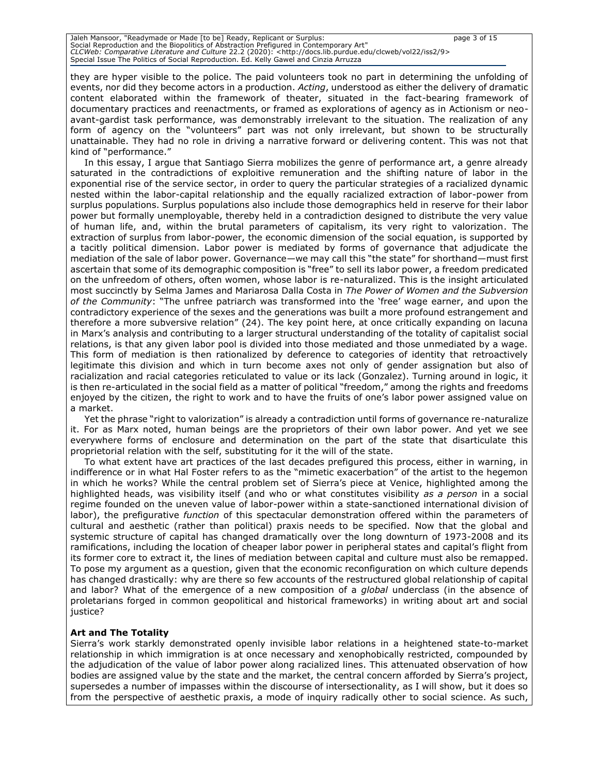Jaleh Mansoor, "Readymade or Made [to be] Ready, Replicant or Surplus: page 3 of 15 Social Reproduction and the Biopolitics of Abstraction Prefigured in Contemporary Art" *CLCWeb: Comparative Literature and Culture* 22.2 (2020): <http://docs.lib.purdue.edu/clcweb/vol22/iss2/9> Special Issue The Politics of Social Reproduction. Ed. Kelly Gawel and Cinzia Arruzza

they are hyper visible to the police. The paid volunteers took no part in determining the unfolding of events, nor did they become actors in a production. *Acting*, understood as either the delivery of dramatic content elaborated within the framework of theater, situated in the fact-bearing framework of documentary practices and reenactments, or framed as explorations of agency as in Actionism or neoavant-gardist task performance, was demonstrably irrelevant to the situation. The realization of any form of agency on the "volunteers" part was not only irrelevant, but shown to be structurally unattainable. They had no role in driving a narrative forward or delivering content. This was not that kind of "performance."

In this essay, I argue that Santiago Sierra mobilizes the genre of performance art, a genre already saturated in the contradictions of exploitive remuneration and the shifting nature of labor in the exponential rise of the service sector, in order to query the particular strategies of a racialized dynamic nested within the labor-capital relationship and the equally racialized extraction of labor-power from surplus populations. Surplus populations also include those demographics held in reserve for their labor power but formally unemployable, thereby held in a contradiction designed to distribute the very value of human life, and, within the brutal parameters of capitalism, its very right to valorization. The extraction of surplus from labor-power, the economic dimension of the social equation, is supported by a tacitly political dimension. Labor power is mediated by forms of governance that adjudicate the mediation of the sale of labor power. Governance—we may call this "the state" for shorthand—must first ascertain that some of its demographic composition is "free" to sell its labor power, a freedom predicated on the unfreedom of others, often women, whose labor is re-naturalized. This is the insight articulated most succinctly by Selma James and Mariarosa Dalla Costa in *The Power of Women and the Subversion of the Community*: "The unfree patriarch was transformed into the 'free' wage earner, and upon the contradictory experience of the sexes and the generations was built a more profound estrangement and therefore a more subversive relation" (24). The key point here, at once critically expanding on lacuna in Marx's analysis and contributing to a larger structural understanding of the totality of capitalist social relations, is that any given labor pool is divided into those mediated and those unmediated by a wage. This form of mediation is then rationalized by deference to categories of identity that retroactively legitimate this division and which in turn become axes not only of gender assignation but also of racialization and racial categories reticulated to value or its lack (Gonzalez). Turning around in logic, it is then re-articulated in the social field as a matter of political "freedom," among the rights and freedoms enjoyed by the citizen, the right to work and to have the fruits of one's labor power assigned value on a market.

Yet the phrase "right to valorization" is already a contradiction until forms of governance re-naturalize it. For as Marx noted, human beings are the proprietors of their own labor power. And yet we see everywhere forms of enclosure and determination on the part of the state that disarticulate this proprietorial relation with the self, substituting for it the will of the state.

To what extent have art practices of the last decades prefigured this process, either in warning, in indifference or in what Hal Foster refers to as the "mimetic exacerbation" of the artist to the hegemon in which he works? While the central problem set of Sierra's piece at Venice, highlighted among the highlighted heads, was visibility itself (and who or what constitutes visibility *as a person* in a social regime founded on the uneven value of labor-power within a state-sanctioned international division of labor), the prefigurative *function* of this spectacular demonstration offered within the parameters of cultural and aesthetic (rather than political) praxis needs to be specified. Now that the global and systemic structure of capital has changed dramatically over the long downturn of 1973-2008 and its ramifications, including the location of cheaper labor power in peripheral states and capital's flight from its former core to extract it, the lines of mediation between capital and culture must also be remapped. To pose my argument as a question, given that the economic reconfiguration on which culture depends has changed drastically: why are there so few accounts of the restructured global relationship of capital and labor? What of the emergence of a new composition of a *global* underclass (in the absence of proletarians forged in common geopolitical and historical frameworks) in writing about art and social justice?

# **Art and The Totality**

Sierra's work starkly demonstrated openly invisible labor relations in a heightened state-to-market relationship in which immigration is at once necessary and xenophobically restricted, compounded by the adjudication of the value of labor power along racialized lines. This attenuated observation of how bodies are assigned value by the state and the market, the central concern afforded by Sierra's project, supersedes a number of impasses within the discourse of intersectionality, as I will show, but it does so from the perspective of aesthetic praxis, a mode of inquiry radically other to social science. As such,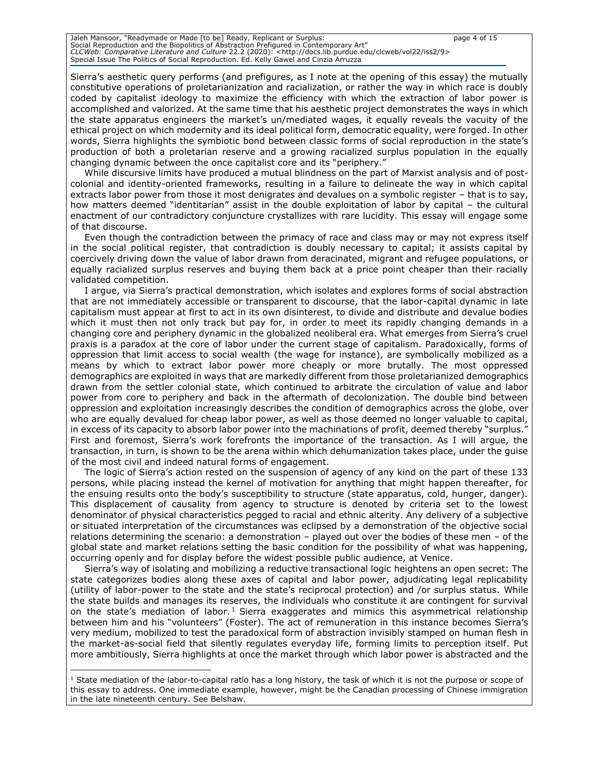Jaleh Mansoor, "Readymade or Made [to be] Ready, Replicant or Surplus: page 4 of 15 Social Reproduction and the Biopolitics of Abstraction Prefigured in Contemporary Art" *CLCWeb: Comparative Literature and Culture* 22.2 (2020): <http://docs.lib.purdue.edu/clcweb/vol22/iss2/9> Special Issue The Politics of Social Reproduction. Ed. Kelly Gawel and Cinzia Arruzza

Sierra's aesthetic query performs (and prefigures, as I note at the opening of this essay) the mutually constitutive operations of proletarianization and racialization, or rather the way in which race is doubly coded by capitalist ideology to maximize the efficiency with which the extraction of labor power is accomplished and valorized. At the same time that his aesthetic project demonstrates the ways in which the state apparatus engineers the market's un/mediated wages, it equally reveals the vacuity of the ethical project on which modernity and its ideal political form, democratic equality, were forged. In other words, Sierra highlights the symbiotic bond between classic forms of social reproduction in the state's production of both a proletarian reserve and a growing racialized surplus population in the equally changing dynamic between the once capitalist core and its "periphery."

While discursive limits have produced a mutual blindness on the part of Marxist analysis and of postcolonial and identity-oriented frameworks, resulting in a failure to delineate the way in which capital extracts labor power from those it most denigrates and devalues on a symbolic register – that is to say, how matters deemed "identitarian" assist in the double exploitation of labor by capital – the cultural enactment of our contradictory conjuncture crystallizes with rare lucidity. This essay will engage some of that discourse.

Even though the contradiction between the primacy of race and class may or may not express itself in the social political register, that contradiction is doubly necessary to capital; it assists capital by coercively driving down the value of labor drawn from deracinated, migrant and refugee populations, or equally racialized surplus reserves and buying them back at a price point cheaper than their racially validated competition.

I argue, via Sierra's practical demonstration, which isolates and explores forms of social abstraction that are not immediately accessible or transparent to discourse, that the labor-capital dynamic in late capitalism must appear at first to act in its own disinterest, to divide and distribute and devalue bodies which it must then not only track but pay for, in order to meet its rapidly changing demands in a changing core and periphery dynamic in the globalized neoliberal era. What emerges from Sierra's cruel praxis is a paradox at the core of labor under the current stage of capitalism. Paradoxically, forms of oppression that limit access to social wealth (the wage for instance), are symbolically mobilized as a means by which to extract labor power more cheaply or more brutally. The most oppressed demographics are exploited in ways that are markedly different from those proletarianized demographics drawn from the settler colonial state, which continued to arbitrate the circulation of value and labor power from core to periphery and back in the aftermath of decolonization. The double bind between oppression and exploitation increasingly describes the condition of demographics across the globe, over who are equally devalued for cheap labor power, as well as those deemed no longer valuable to capital, in excess of its capacity to absorb labor power into the machinations of profit, deemed thereby "surplus." First and foremost, Sierra's work forefronts the importance of the transaction. As I will argue, the transaction, in turn, is shown to be the arena within which dehumanization takes place, under the guise of the most civil and indeed natural forms of engagement.

The logic of Sierra's action rested on the suspension of agency of any kind on the part of these 133 persons, while placing instead the kernel of motivation for anything that might happen thereafter, for the ensuing results onto the body's susceptibility to structure (state apparatus, cold, hunger, danger). This displacement of causality from agency to structure is denoted by criteria set to the lowest denominator of physical characteristics pegged to racial and ethnic alterity. Any delivery of a subjective or situated interpretation of the circumstances was eclipsed by a demonstration of the objective social relations determining the scenario: a demonstration – played out over the bodies of these men – of the global state and market relations setting the basic condition for the possibility of what was happening, occurring openly and for display before the widest possible public audience, at Venice.

Sierra's way of isolating and mobilizing a reductive transactional logic heightens an open secret: The state categorizes bodies along these axes of capital and labor power, adjudicating legal replicability (utility of labor-power to the state and the state's reciprocal protection) and /or surplus status. While the state builds and manages its reserves, the individuals who constitute it are contingent for survival on the state's mediation of labor.<sup>1</sup> Sierra exaggerates and mimics this asymmetrical relationship between him and his "volunteers" (Foster). The act of remuneration in this instance becomes Sierra's very medium, mobilized to test the paradoxical form of abstraction invisibly stamped on human flesh in the market-as-social field that silently regulates everyday life, forming limits to perception itself. Put more ambitiously, Sierra highlights at once the market through which labor power is abstracted and the

 $<sup>1</sup>$  State mediation of the labor-to-capital ratio has a long history, the task of which it is not the purpose or scope of</sup> this essay to address. One immediate example, however, might be the Canadian processing of Chinese immigration in the late nineteenth century. See Belshaw.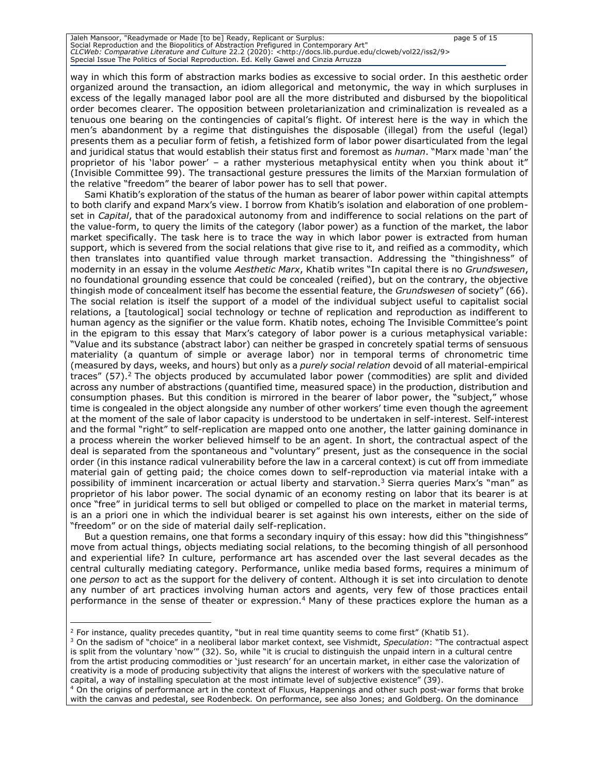Jaleh Mansoor, "Readymade or Made [to be] Ready, Replicant or Surplus: page 5 of 15 Social Reproduction and the Biopolitics of Abstraction Prefigured in Contemporary Art" *CLCWeb: Comparative Literature and Culture* 22.2 (2020): <http://docs.lib.purdue.edu/clcweb/vol22/iss2/9> Special Issue The Politics of Social Reproduction. Ed. Kelly Gawel and Cinzia Arruzza

way in which this form of abstraction marks bodies as excessive to social order. In this aesthetic order organized around the transaction, an idiom allegorical and metonymic, the way in which surpluses in excess of the legally managed labor pool are all the more distributed and disbursed by the biopolitical order becomes clearer. The opposition between proletarianization and criminalization is revealed as a tenuous one bearing on the contingencies of capital's flight. Of interest here is the way in which the men's abandonment by a regime that distinguishes the disposable (illegal) from the useful (legal) presents them as a peculiar form of fetish, a fetishized form of labor power disarticulated from the legal and juridical status that would establish their status first and foremost as *human*. "Marx made 'man' the proprietor of his 'labor power' – a rather mysterious metaphysical entity when you think about it" (Invisible Committee 99). The transactional gesture pressures the limits of the Marxian formulation of the relative "freedom" the bearer of labor power has to sell that power.

Sami Khatib's exploration of the status of the human as bearer of labor power within capital attempts to both clarify and expand Marx's view. I borrow from Khatib's isolation and elaboration of one problemset in *Capital*, that of the paradoxical autonomy from and indifference to social relations on the part of the value-form, to query the limits of the category (labor power) as a function of the market, the labor market specifically. The task here is to trace the way in which labor power is extracted from human support, which is severed from the social relations that give rise to it, and reified as a commodity, which then translates into quantified value through market transaction. Addressing the "thingishness" of modernity in an essay in the volume *Aesthetic Marx*, Khatib writes "In capital there is no *Grundswesen*, no foundational grounding essence that could be concealed (reified), but on the contrary, the objective thingish mode of concealment itself has become the essential feature, the *Grundswesen* of society" (66). The social relation is itself the support of a model of the individual subject useful to capitalist social relations, a [tautological] social technology or techne of replication and reproduction as indifferent to human agency as the signifier or the value form. Khatib notes, echoing The Invisible Committee's point in the epigram to this essay that Marx's category of labor power is a curious metaphysical variable: "Value and its substance (abstract labor) can neither be grasped in concretely spatial terms of sensuous materiality (a quantum of simple or average labor) nor in temporal terms of chronometric time (measured by days, weeks, and hours) but only as a *purely social relation* devoid of all material-empirical traces" (57).<sup>2</sup> The objects produced by accumulated labor power (commodities) are split and divided across any number of abstractions (quantified time, measured space) in the production, distribution and consumption phases. But this condition is mirrored in the bearer of labor power, the "subject," whose time is congealed in the object alongside any number of other workers' time even though the agreement at the moment of the sale of labor capacity is understood to be undertaken in self-interest. Self-interest and the formal "right" to self-replication are mapped onto one another, the latter gaining dominance in a process wherein the worker believed himself to be an agent. In short, the contractual aspect of the deal is separated from the spontaneous and "voluntary" present, just as the consequence in the social order (in this instance radical vulnerability before the law in a carceral context) is cut off from immediate material gain of getting paid; the choice comes down to self-reproduction via material intake with a possibility of imminent incarceration or actual liberty and starvation.<sup>3</sup> Sierra queries Marx's "man" as proprietor of his labor power. The social dynamic of an economy resting on labor that its bearer is at once "free" in juridical terms to sell but obliged or compelled to place on the market in material terms, is an a priori one in which the individual bearer is set against his own interests, either on the side of "freedom" or on the side of material daily self-replication.

But a question remains, one that forms a secondary inquiry of this essay: how did this "thingishness" move from actual things, objects mediating social relations, to the becoming thingish of all personhood and experiential life? In culture, performance art has ascended over the last several decades as the central culturally mediating category. Performance, unlike media based forms, requires a minimum of one *person* to act as the support for the delivery of content. Although it is set into circulation to denote any number of art practices involving human actors and agents, very few of those practices entail performance in the sense of theater or expression.<sup>4</sup> Many of these practices explore the human as a

<sup>&</sup>lt;sup>2</sup> For instance, quality precedes quantity, "but in real time quantity seems to come first" (Khatib 51).

<sup>3</sup> On the sadism of "choice" in a neoliberal labor market context, see Vishmidt, *Speculation*: "The contractual aspect is split from the voluntary 'now'" (32). So, while "it is crucial to distinguish the unpaid intern in a cultural centre from the artist producing commodities or 'just research' for an uncertain market, in either case the valorization of creativity is a mode of producing subjectivity that aligns the interest of workers with the speculative nature of capital, a way of installing speculation at the most intimate level of subjective existence" (39).

<sup>&</sup>lt;sup>4</sup> On the origins of performance art in the context of Fluxus, Happenings and other such post-war forms that broke with the canvas and pedestal, see Rodenbeck*.* On performance, see also Jones; and Goldberg. On the dominance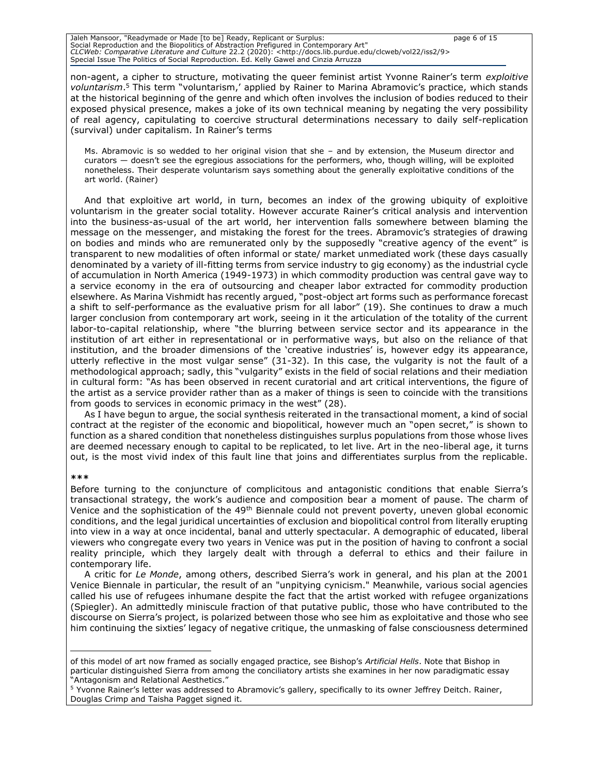Jaleh Mansoor, "Readymade or Made [to be] Ready, Replicant or Surplus: page 6 of 15 Social Reproduction and the Biopolitics of Abstraction Prefigured in Contemporary Art" *CLCWeb: Comparative Literature and Culture* 22.2 (2020): <http://docs.lib.purdue.edu/clcweb/vol22/iss2/9> Special Issue The Politics of Social Reproduction. Ed. Kelly Gawel and Cinzia Arruzza

non-agent, a cipher to structure, motivating the queer feminist artist Yvonne Rainer's term *exploitive voluntarism*. <sup>5</sup> This term "voluntarism,' applied by Rainer to Marina Abramovic's practice, which stands at the historical beginning of the genre and which often involves the inclusion of bodies reduced to their exposed physical presence, makes a joke of its own technical meaning by negating the very possibility of real agency, capitulating to coercive structural determinations necessary to daily self-replication (survival) under capitalism. In Rainer's terms

Ms. Abramovic is so wedded to her original vision that she – and by extension, the Museum director and curators — doesn't see the egregious associations for the performers, who, though willing, will be exploited nonetheless. Their desperate voluntarism says something about the generally exploitative conditions of the art world. (Rainer)

And that exploitive art world, in turn, becomes an index of the growing ubiquity of exploitive voluntarism in the greater social totality. However accurate Rainer's critical analysis and intervention into the business-as-usual of the art world, her intervention falls somewhere between blaming the message on the messenger, and mistaking the forest for the trees. Abramovic's strategies of drawing on bodies and minds who are remunerated only by the supposedly "creative agency of the event" is transparent to new modalities of often informal or state/ market unmediated work (these days casually denominated by a variety of ill-fitting terms from service industry to gig economy) as the industrial cycle of accumulation in North America (1949-1973) in which commodity production was central gave way to a service economy in the era of outsourcing and cheaper labor extracted for commodity production elsewhere. As Marina Vishmidt has recently argued, "post-object art forms such as performance forecast a shift to self-performance as the evaluative prism for all labor" (19). She continues to draw a much larger conclusion from contemporary art work, seeing in it the articulation of the totality of the current labor-to-capital relationship, where "the blurring between service sector and its appearance in the institution of art either in representational or in performative ways, but also on the reliance of that institution, and the broader dimensions of the 'creative industries' is, however edgy its appearance, utterly reflective in the most vulgar sense" (31-32). In this case, the vulgarity is not the fault of a methodological approach; sadly, this "vulgarity" exists in the field of social relations and their mediation in cultural form: "As has been observed in recent curatorial and art critical interventions, the figure of the artist as a service provider rather than as a maker of things is seen to coincide with the transitions from goods to services in economic primacy in the west" (28).

As I have begun to argue, the social synthesis reiterated in the transactional moment, a kind of social contract at the register of the economic and biopolitical, however much an "open secret," is shown to function as a shared condition that nonetheless distinguishes surplus populations from those whose lives are deemed necessary enough to capital to be replicated, to let live. Art in the neo-liberal age, it turns out, is the most vivid index of this fault line that joins and differentiates surplus from the replicable.

#### **\*\*\***

Before turning to the conjuncture of complicitous and antagonistic conditions that enable Sierra's transactional strategy, the work's audience and composition bear a moment of pause. The charm of Venice and the sophistication of the 49<sup>th</sup> Biennale could not prevent poverty, uneven global economic conditions, and the legal juridical uncertainties of exclusion and biopolitical control from literally erupting into view in a way at once incidental, banal and utterly spectacular. A demographic of educated, liberal viewers who congregate every two years in Venice was put in the position of having to confront a social reality principle, which they largely dealt with through a deferral to ethics and their failure in contemporary life.

A critic for *Le Monde*, among others, described Sierra's work in general, and his plan at the 2001 Venice Biennale in particular, the result of an "unpitying cynicism." Meanwhile, various social agencies called his use of refugees inhumane despite the fact that the artist worked with refugee organizations (Spiegler). An admittedly miniscule fraction of that putative public, those who have contributed to the discourse on Sierra's project, is polarized between those who see him as exploitative and those who see him continuing the sixties' legacy of negative critique, the unmasking of false consciousness determined

of this model of art now framed as socially engaged practice, see Bishop's *Artificial Hells*. Note that Bishop in particular distinguished Sierra from among the conciliatory artists she examines in her now paradigmatic essay "Antagonism and Relational Aesthetics."

<sup>&</sup>lt;sup>5</sup> Yvonne Rainer's letter was addressed to Abramovic's gallery, specifically to its owner Jeffrey Deitch. Rainer, Douglas Crimp and Taisha Pagget signed it.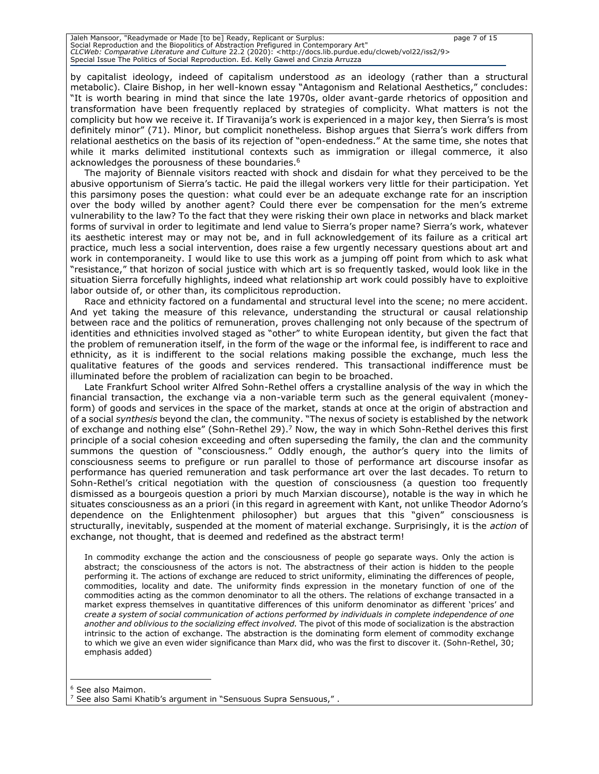Jaleh Mansoor, "Readymade or Made [to be] Ready, Replicant or Surplus: page 7 of 15 Social Reproduction and the Biopolitics of Abstraction Prefigured in Contemporary Art" *CLCWeb: Comparative Literature and Culture* 22.2 (2020): <http://docs.lib.purdue.edu/clcweb/vol22/iss2/9> Special Issue The Politics of Social Reproduction. Ed. Kelly Gawel and Cinzia Arruzza

by capitalist ideology, indeed of capitalism understood *as* an ideology (rather than a structural metabolic). Claire Bishop, in her well-known essay "Antagonism and Relational Aesthetics," concludes: "It is worth bearing in mind that since the late 1970s, older avant-garde rhetorics of opposition and transformation have been frequently replaced by strategies of complicity. What matters is not the complicity but how we receive it. If Tiravanija's work is experienced in a major key, then Sierra's is most definitely minor" (71). Minor, but complicit nonetheless. Bishop argues that Sierra's work differs from relational aesthetics on the basis of its rejection of "open-endedness." At the same time, she notes that while it marks delimited institutional contexts such as immigration or illegal commerce, it also acknowledges the porousness of these boundaries.<sup>6</sup>

The majority of Biennale visitors reacted with shock and disdain for what they perceived to be the abusive opportunism of Sierra's tactic. He paid the illegal workers very little for their participation. Yet this parsimony poses the question: what could ever be an adequate exchange rate for an inscription over the body willed by another agent? Could there ever be compensation for the men's extreme vulnerability to the law? To the fact that they were risking their own place in networks and black market forms of survival in order to legitimate and lend value to Sierra's proper name? Sierra's work, whatever its aesthetic interest may or may not be, and in full acknowledgement of its failure as a critical art practice, much less a social intervention, does raise a few urgently necessary questions about art and work in contemporaneity. I would like to use this work as a jumping off point from which to ask what "resistance," that horizon of social justice with which art is so frequently tasked, would look like in the situation Sierra forcefully highlights, indeed what relationship art work could possibly have to exploitive labor outside of, or other than, its complicitous reproduction.

Race and ethnicity factored on a fundamental and structural level into the scene; no mere accident. And yet taking the measure of this relevance, understanding the structural or causal relationship between race and the politics of remuneration, proves challenging not only because of the spectrum of identities and ethnicities involved staged as "other" to white European identity, but given the fact that the problem of remuneration itself, in the form of the wage or the informal fee, is indifferent to race and ethnicity, as it is indifferent to the social relations making possible the exchange, much less the qualitative features of the goods and services rendered. This transactional indifference must be illuminated before the problem of racialization can begin to be broached.

Late Frankfurt School writer Alfred Sohn-Rethel offers a crystalline analysis of the way in which the financial transaction, the exchange via a non-variable term such as the general equivalent (moneyform) of goods and services in the space of the market, stands at once at the origin of abstraction and of a social *synthesis* beyond the clan, the community. "The nexus of society is established by the network of exchange and nothing else" (Sohn-Rethel 29).<sup>7</sup> Now, the way in which Sohn-Rethel derives this first principle of a social cohesion exceeding and often superseding the family, the clan and the community summons the question of "consciousness." Oddly enough, the author's query into the limits of consciousness seems to prefigure or run parallel to those of performance art discourse insofar as performance has queried remuneration and task performance art over the last decades. To return to Sohn-Rethel's critical negotiation with the question of consciousness (a question too frequently dismissed as a bourgeois question a priori by much Marxian discourse), notable is the way in which he situates consciousness as an a priori (in this regard in agreement with Kant, not unlike Theodor Adorno's dependence on the Enlightenment philosopher) but argues that this "given" consciousness is structurally, inevitably, suspended at the moment of material exchange. Surprisingly, it is the *action* of exchange, not thought, that is deemed and redefined as the abstract term!

In commodity exchange the action and the consciousness of people go separate ways. Only the action is abstract; the consciousness of the actors is not. The abstractness of their action is hidden to the people performing it. The actions of exchange are reduced to strict uniformity, eliminating the differences of people, commodities, locality and date. The uniformity finds expression in the monetary function of one of the commodities acting as the common denominator to all the others. The relations of exchange transacted in a market express themselves in quantitative differences of this uniform denominator as different 'prices' and *create a system of social communication of actions performed by individuals in complete independence of one another and oblivious to the socializing effect involved.* The pivot of this mode of socialization is the abstraction intrinsic to the action of exchange. The abstraction is the dominating form element of commodity exchange to which we give an even wider significance than Marx did, who was the first to discover it. (Sohn-Rethel, 30; emphasis added)

<sup>6</sup> See also Maimon.

<sup>7</sup> See also Sami Khatib's argument in "Sensuous Supra Sensuous," .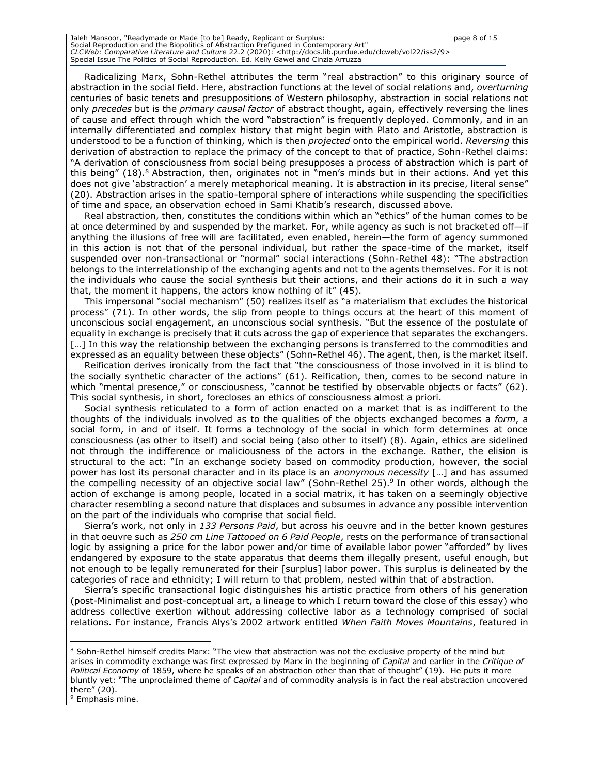Jaleh Mansoor, "Readymade or Made [to be] Ready, Replicant or Surplus: page 8 of 15 Social Reproduction and the Biopolitics of Abstraction Prefigured in Contemporary Art" *CLCWeb: Comparative Literature and Culture* 22.2 (2020): <http://docs.lib.purdue.edu/clcweb/vol22/iss2/9> Special Issue The Politics of Social Reproduction. Ed. Kelly Gawel and Cinzia Arruzza

Radicalizing Marx, Sohn-Rethel attributes the term "real abstraction" to this originary source of abstraction in the social field. Here, abstraction functions at the level of social relations and, *overturning* centuries of basic tenets and presuppositions of Western philosophy, abstraction in social relations not only *precedes* but is the *primary causal factor* of abstract thought, again, effectively reversing the lines of cause and effect through which the word "abstraction" is frequently deployed. Commonly, and in an internally differentiated and complex history that might begin with Plato and Aristotle, abstraction is understood to be a function of thinking, which is then *projected* onto the empirical world. *Reversing* this derivation of abstraction to replace the primacy of the concept to that of practice, Sohn-Rethel claims: "A derivation of consciousness from social being presupposes a process of abstraction which is part of this being"  $(18)$ .<sup>8</sup> Abstraction, then, originates not in "men's minds but in their actions. And yet this does not give 'abstraction' a merely metaphorical meaning. It is abstraction in its precise, literal sense" (20). Abstraction arises in the spatio-temporal sphere of interactions while suspending the specificities of time and space, an observation echoed in Sami Khatib's research, discussed above.

Real abstraction, then, constitutes the conditions within which an "ethics" of the human comes to be at once determined by and suspended by the market. For, while agency as such is not bracketed off—if anything the illusions of free will are facilitated, even enabled, herein—the form of agency summoned in this action is not that of the personal individual, but rather the space-time of the market, itself suspended over non-transactional or "normal" social interactions (Sohn-Rethel 48): "The abstraction belongs to the interrelationship of the exchanging agents and not to the agents themselves. For it is not the individuals who cause the social synthesis but their actions, and their actions do it in such a way that, the moment it happens, the actors know nothing of it" (45).

This impersonal "social mechanism" (50) realizes itself as "a materialism that excludes the historical process" (71). In other words, the slip from people to things occurs at the heart of this moment of unconscious social engagement, an unconscious social synthesis. "But the essence of the postulate of equality in exchange is precisely that it cuts across the gap of experience that separates the exchangers. [...] In this way the relationship between the exchanging persons is transferred to the commodities and expressed as an equality between these objects" (Sohn-Rethel 46). The agent, then, is the market itself.

Reification derives ironically from the fact that "the consciousness of those involved in it is blind to the socially synthetic character of the actions" (61). Reification, then, comes to be second nature in which "mental presence," or consciousness, "cannot be testified by observable objects or facts" (62). This social synthesis, in short, forecloses an ethics of consciousness almost a priori.

Social synthesis reticulated to a form of action enacted on a market that is as indifferent to the thoughts of the individuals involved as to the qualities of the objects exchanged becomes a *form*, a social form, in and of itself. It forms a technology of the social in which form determines at once consciousness (as other to itself) and social being (also other to itself) (8). Again, ethics are sidelined not through the indifference or maliciousness of the actors in the exchange. Rather, the elision is structural to the act: "In an exchange society based on commodity production, however, the social power has lost its personal character and in its place is an *anonymous necessity* […] and has assumed the compelling necessity of an objective social law" (Sohn-Rethel 25).<sup>9</sup> In other words, although the action of exchange is among people, located in a social matrix, it has taken on a seemingly objective character resembling a second nature that displaces and subsumes in advance any possible intervention on the part of the individuals who comprise that social field.

Sierra's work, not only in *133 Persons Paid*, but across his oeuvre and in the better known gestures in that oeuvre such as *250 cm Line Tattooed on 6 Paid People*, rests on the performance of transactional logic by assigning a price for the labor power and/or time of available labor power "afforded" by lives endangered by exposure to the state apparatus that deems them illegally present, useful enough, but not enough to be legally remunerated for their [surplus] labor power. This surplus is delineated by the categories of race and ethnicity; I will return to that problem, nested within that of abstraction.

Sierra's specific transactional logic distinguishes his artistic practice from others of his generation (post-Minimalist and post-conceptual art, a lineage to which I return toward the close of this essay) who address collective exertion without addressing collective labor as a technology comprised of social relations. For instance, Francis Alys's 2002 artwork entitled *When Faith Moves Mountains*, featured in

<sup>9</sup> Emphasis mine.

<sup>&</sup>lt;sup>8</sup> Sohn-Rethel himself credits Marx: "The view that abstraction was not the exclusive property of the mind but arises in commodity exchange was first expressed by Marx in the beginning of *Capital* and earlier in the *Critique of Political Economy* of 1859, where he speaks of an abstraction other than that of thought" (19). He puts it more bluntly yet: "The unproclaimed theme of *Capital* and of commodity analysis is in fact the real abstraction uncovered there" (20).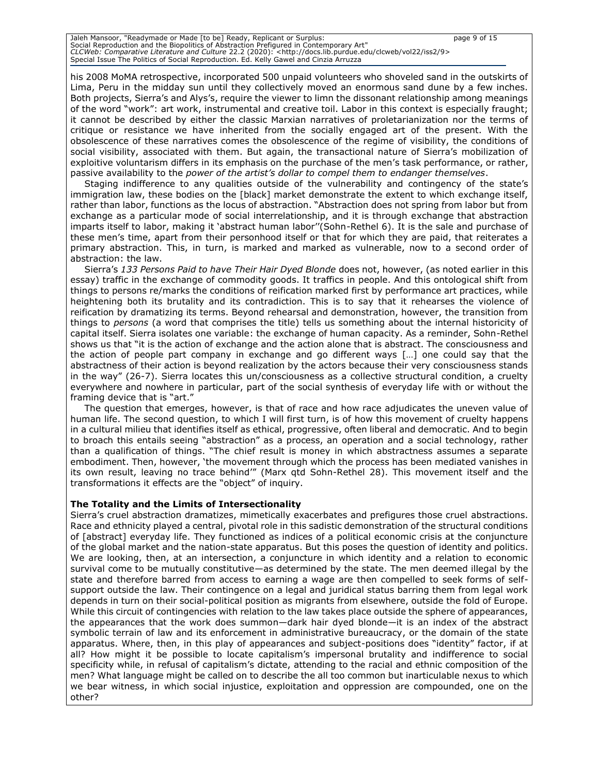Jaleh Mansoor, "Readymade or Made [to be] Ready, Replicant or Surplus: page 9 of 15 Social Reproduction and the Biopolitics of Abstraction Prefigured in Contemporary Art" *CLCWeb: Comparative Literature and Culture* 22.2 (2020): <http://docs.lib.purdue.edu/clcweb/vol22/iss2/9> Special Issue The Politics of Social Reproduction. Ed. Kelly Gawel and Cinzia Arruzza

his 2008 MoMA retrospective, incorporated 500 unpaid volunteers who shoveled sand in the outskirts of Lima, Peru in the midday sun until they collectively moved an enormous sand dune by a few inches. Both projects, Sierra's and Alys's, require the viewer to limn the dissonant relationship among meanings of the word "work": art work, instrumental and creative toil. Labor in this context is especially fraught; it cannot be described by either the classic Marxian narratives of proletarianization nor the terms of critique or resistance we have inherited from the socially engaged art of the present. With the obsolescence of these narratives comes the obsolescence of the regime of visibility, the conditions of social visibility, associated with them. But again, the transactional nature of Sierra's mobilization of exploitive voluntarism differs in its emphasis on the purchase of the men's task performance, or rather, passive availability to the *power of the artist's dollar to compel them to endanger themselves*.

Staging indifference to any qualities outside of the vulnerability and contingency of the state's immigration law, these bodies on the [black] market demonstrate the extent to which exchange itself, rather than labor, functions as the locus of abstraction. "Abstraction does not spring from labor but from exchange as a particular mode of social interrelationship, and it is through exchange that abstraction imparts itself to labor, making it 'abstract human labor''(Sohn-Rethel 6). It is the sale and purchase of these men's time, apart from their personhood itself or that for which they are paid, that reiterates a primary abstraction. This, in turn, is marked and marked as vulnerable, now to a second order of abstraction: the law.

Sierra's *133 Persons Paid to have Their Hair Dyed Blonde* does not, however, (as noted earlier in this essay) traffic in the exchange of commodity goods. It traffics in people. And this ontological shift from things to persons re/marks the conditions of reification marked first by performance art practices, while heightening both its brutality and its contradiction. This is to say that it rehearses the violence of reification by dramatizing its terms. Beyond rehearsal and demonstration, however, the transition from things to *persons* (a word that comprises the title) tells us something about the internal historicity of capital itself. Sierra isolates one variable: the exchange of human capacity. As a reminder, Sohn-Rethel shows us that "it is the action of exchange and the action alone that is abstract. The consciousness and the action of people part company in exchange and go different ways […] one could say that the abstractness of their action is beyond realization by the actors because their very consciousness stands in the way" (26-7). Sierra locates this un/consciousness as a collective structural condition, a cruelty everywhere and nowhere in particular, part of the social synthesis of everyday life with or without the framing device that is "art."

The question that emerges, however, is that of race and how race adjudicates the uneven value of human life. The second question, to which I will first turn, is of how this movement of cruelty happens in a cultural milieu that identifies itself as ethical, progressive, often liberal and democratic. And to begin to broach this entails seeing "abstraction" as a process, an operation and a social technology, rather than a qualification of things. "The chief result is money in which abstractness assumes a separate embodiment. Then, however, 'the movement through which the process has been mediated vanishes in its own result, leaving no trace behind'" (Marx qtd Sohn-Rethel 28). This movement itself and the transformations it effects are the "object" of inquiry.

#### **The Totality and the Limits of Intersectionality**

Sierra's cruel abstraction dramatizes, mimetically exacerbates and prefigures those cruel abstractions. Race and ethnicity played a central, pivotal role in this sadistic demonstration of the structural conditions of [abstract] everyday life. They functioned as indices of a political economic crisis at the conjuncture of the global market and the nation-state apparatus. But this poses the question of identity and politics. We are looking, then, at an intersection, a conjuncture in which identity and a relation to economic survival come to be mutually constitutive—as determined by the state. The men deemed illegal by the state and therefore barred from access to earning a wage are then compelled to seek forms of selfsupport outside the law. Their contingence on a legal and juridical status barring them from legal work depends in turn on their social-political position as migrants from elsewhere, outside the fold of Europe. While this circuit of contingencies with relation to the law takes place outside the sphere of appearances, the appearances that the work does summon—dark hair dyed blonde—it is an index of the abstract symbolic terrain of law and its enforcement in administrative bureaucracy, or the domain of the state apparatus. Where, then, in this play of appearances and subject-positions does "identity" factor, if at all? How might it be possible to locate capitalism's impersonal brutality and indifference to social specificity while, in refusal of capitalism's dictate, attending to the racial and ethnic composition of the men? What language might be called on to describe the all too common but inarticulable nexus to which we bear witness, in which social injustice, exploitation and oppression are compounded, one on the other?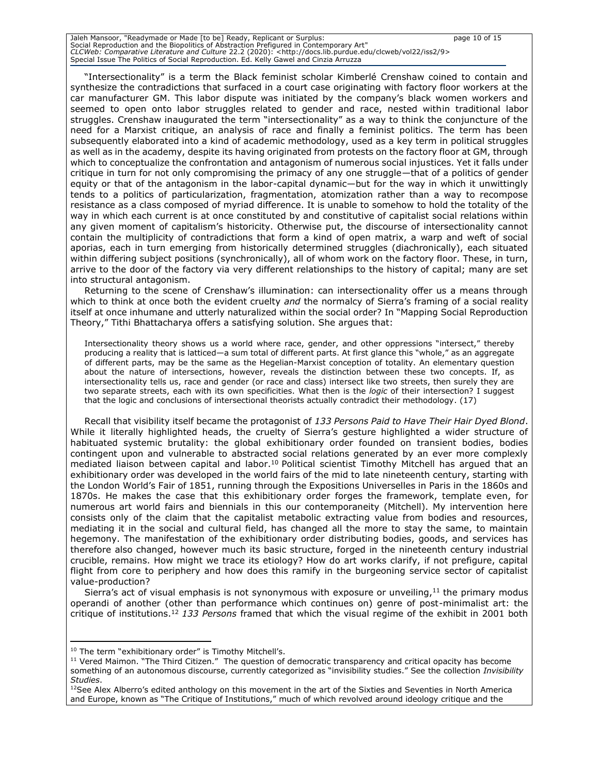Jaleh Mansoor, "Readymade or Made [to be] Ready, Replicant or Surplus: page 10 of 15 Social Reproduction and the Biopolitics of Abstraction Prefigured in Contemporary Art" *CLCWeb: Comparative Literature and Culture* 22.2 (2020): <http://docs.lib.purdue.edu/clcweb/vol22/iss2/9> Special Issue The Politics of Social Reproduction. Ed. Kelly Gawel and Cinzia Arruzza

"Intersectionality" is a term the Black feminist scholar Kimberlé Crenshaw coined to contain and synthesize the contradictions that surfaced in a court case originating with factory floor workers at the car manufacturer GM. This labor dispute was initiated by the company's black women workers and seemed to open onto labor struggles related to gender and race, nested within traditional labor struggles. Crenshaw inaugurated the term "intersectionality" as a way to think the conjuncture of the need for a Marxist critique, an analysis of race and finally a feminist politics. The term has been subsequently elaborated into a kind of academic methodology, used as a key term in political struggles as well as in the academy, despite its having originated from protests on the factory floor at GM, through which to conceptualize the confrontation and antagonism of numerous social injustices. Yet it falls under critique in turn for not only compromising the primacy of any one struggle—that of a politics of gender equity or that of the antagonism in the labor-capital dynamic—but for the way in which it unwittingly tends to a politics of particularization, fragmentation, atomization rather than a way to recompose resistance as a class composed of myriad difference. It is unable to somehow to hold the totality of the way in which each current is at once constituted by and constitutive of capitalist social relations within any given moment of capitalism's historicity. Otherwise put, the discourse of intersectionality cannot contain the multiplicity of contradictions that form a kind of open matrix, a warp and weft of social aporias, each in turn emerging from historically determined struggles (diachronically), each situated within differing subject positions (synchronically), all of whom work on the factory floor. These, in turn, arrive to the door of the factory via very different relationships to the history of capital; many are set into structural antagonism.

Returning to the scene of Crenshaw's illumination: can intersectionality offer us a means through which to think at once both the evident cruelty *and* the normalcy of Sierra's framing of a social reality itself at once inhumane and utterly naturalized within the social order? In "Mapping Social Reproduction Theory," Tithi Bhattacharya offers a satisfying solution. She argues that:

Intersectionality theory shows us a world where race, gender, and other oppressions "intersect," thereby producing a reality that is latticed—a sum total of different parts. At first glance this "whole," as an aggregate of different parts, may be the same as the Hegelian-Marxist conception of totality. An elementary question about the nature of intersections, however, reveals the distinction between these two concepts. If, as intersectionality tells us, race and gender (or race and class) intersect like two streets, then surely they are two separate streets, each with its own specificities. What then is the *logic* of their intersection? I suggest that the logic and conclusions of intersectional theorists actually contradict their methodology. (17)

Recall that visibility itself became the protagonist of *133 Persons Paid to Have Their Hair Dyed Blond*. While it literally highlighted heads, the cruelty of Sierra's gesture highlighted a wider structure of habituated systemic brutality: the global exhibitionary order founded on transient bodies, bodies contingent upon and vulnerable to abstracted social relations generated by an ever more complexly mediated liaison between capital and labor.<sup>10</sup> Political scientist Timothy Mitchell has argued that an exhibitionary order was developed in the world fairs of the mid to late nineteenth century, starting with the London World's Fair of 1851, running through the Expositions Universelles in Paris in the 1860s and 1870s. He makes the case that this exhibitionary order forges the framework, template even, for numerous art world fairs and biennials in this our contemporaneity (Mitchell). My intervention here consists only of the claim that the capitalist metabolic extracting value from bodies and resources, mediating it in the social and cultural field, has changed all the more to stay the same, to maintain hegemony. The manifestation of the exhibitionary order distributing bodies, goods, and services has therefore also changed, however much its basic structure, forged in the nineteenth century industrial crucible, remains. How might we trace its etiology? How do art works clarify, if not prefigure, capital flight from core to periphery and how does this ramify in the burgeoning service sector of capitalist value-production?

Sierra's act of visual emphasis is not synonymous with exposure or unveiling, $11$  the primary modus operandi of another (other than performance which continues on) genre of post-minimalist art: the critique of institutions.<sup>12</sup> *133 Persons* framed that which the visual regime of the exhibit in 2001 both

<sup>&</sup>lt;sup>10</sup> The term "exhibitionary order" is Timothy Mitchell's.

<sup>&</sup>lt;sup>11</sup> Vered Maimon. "The Third Citizen." The question of democratic transparency and critical opacity has become something of an autonomous discourse, currently categorized as "invisibility studies." See the collection *Invisibility Studies*.

 $12$ See Alex Alberro's edited anthology on this movement in the art of the Sixties and Seventies in North America and Europe, known as "The Critique of Institutions," much of which revolved around ideology critique and the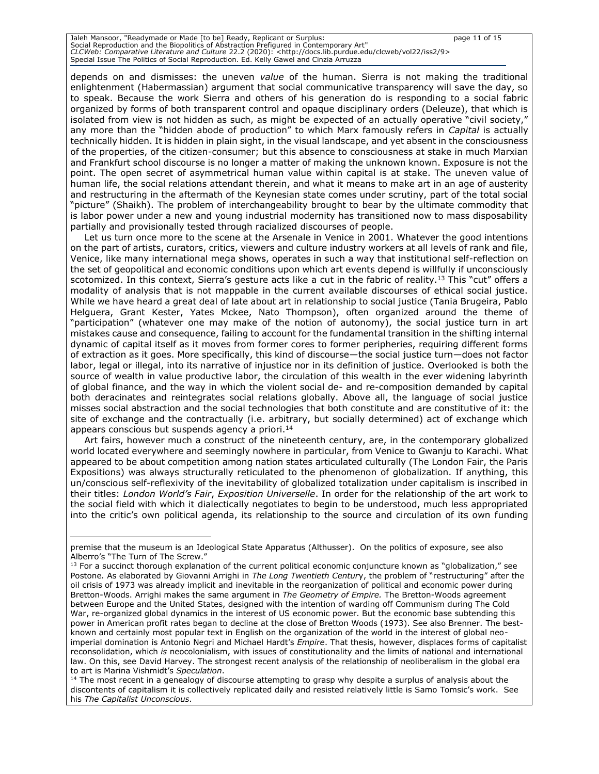Jaleh Mansoor, "Readymade or Made [to be] Ready, Replicant or Surplus: page 11 of 15 Social Reproduction and the Biopolitics of Abstraction Prefigured in Contemporary Art" *CLCWeb: Comparative Literature and Culture* 22.2 (2020): <http://docs.lib.purdue.edu/clcweb/vol22/iss2/9> Special Issue The Politics of Social Reproduction. Ed. Kelly Gawel and Cinzia Arruzza

depends on and dismisses: the uneven *value* of the human. Sierra is not making the traditional enlightenment (Habermassian) argument that social communicative transparency will save the day, so to speak. Because the work Sierra and others of his generation do is responding to a social fabric organized by forms of both transparent control and opaque disciplinary orders (Deleuze), that which is isolated from view is not hidden as such, as might be expected of an actually operative "civil society," any more than the "hidden abode of production" to which Marx famously refers in *Capital* is actually technically hidden. It is hidden in plain sight, in the visual landscape, and yet absent in the consciousness of the properties, of the citizen-consumer; but this absence to consciousness at stake in much Marxian and Frankfurt school discourse is no longer a matter of making the unknown known. Exposure is not the point. The open secret of asymmetrical human value within capital is at stake. The uneven value of human life, the social relations attendant therein, and what it means to make art in an age of austerity and restructuring in the aftermath of the Keynesian state comes under scrutiny, part of the total social "picture" (Shaikh). The problem of interchangeability brought to bear by the ultimate commodity that is labor power under a new and young industrial modernity has transitioned now to mass disposability partially and provisionally tested through racialized discourses of people.

Let us turn once more to the scene at the Arsenale in Venice in 2001. Whatever the good intentions on the part of artists, curators, critics, viewers and culture industry workers at all levels of rank and file, Venice, like many international mega shows, operates in such a way that institutional self-reflection on the set of geopolitical and economic conditions upon which art events depend is willfully if unconsciously scotomized. In this context, Sierra's gesture acts like a cut in the fabric of reality.<sup>13</sup> This "cut" offers a modality of analysis that is not mappable in the current available discourses of ethical social justice. While we have heard a great deal of late about art in relationship to social justice (Tania Brugeira, Pablo Helguera, Grant Kester, Yates Mckee, Nato Thompson), often organized around the theme of "participation" (whatever one may make of the notion of autonomy), the social justice turn in art mistakes cause and consequence, failing to account for the fundamental transition in the shifting internal dynamic of capital itself as it moves from former cores to former peripheries, requiring different forms of extraction as it goes. More specifically, this kind of discourse—the social justice turn—does not factor labor, legal or illegal, into its narrative of injustice nor in its definition of justice. Overlooked is both the source of wealth in value productive labor, the circulation of this wealth in the ever widening labyrinth of global finance, and the way in which the violent social de- and re-composition demanded by capital both deracinates and reintegrates social relations globally. Above all, the language of social justice misses social abstraction and the social technologies that both constitute and are constitutive of it: the site of exchange and the contractually (i.e. arbitrary, but socially determined) act of exchange which appears conscious but suspends agency a priori.<sup>14</sup>

Art fairs, however much a construct of the nineteenth century, are, in the contemporary globalized world located everywhere and seemingly nowhere in particular, from Venice to Gwanju to Karachi. What appeared to be about competition among nation states articulated culturally (The London Fair, the Paris Expositions) was always structurally reticulated to the phenomenon of globalization. If anything, this un/conscious self-reflexivity of the inevitability of globalized totalization under capitalism is inscribed in their titles: *London World's Fair*, *Exposition Universelle*. In order for the relationship of the art work to the social field with which it dialectically negotiates to begin to be understood, much less appropriated into the critic's own political agenda, its relationship to the source and circulation of its own funding

premise that the museum is an Ideological State Apparatus (Althusser). On the politics of exposure, see also Alberro's "The Turn of The Screw."

 $13$  For a succinct thorough explanation of the current political economic conjuncture known as "globalization," see Postone*.* As elaborated by Giovanni Arrighi in *The Long Twentieth Centur*y, the problem of "restructuring" after the oil crisis of 1973 was already implicit and inevitable in the reorganization of political and economic power during Bretton-Woods. Arrighi makes the same argument in *The Geometry of Empire.* The Bretton-Woods agreement between Europe and the United States, designed with the intention of warding off Communism during The Cold War, re-organized global dynamics in the interest of US economic power. But the economic base subtending this power in American profit rates began to decline at the close of Bretton Woods (1973). See also Brenner*.* The bestknown and certainly most popular text in English on the organization of the world in the interest of global neoimperial domination is Antonio Negri and Michael Hardt's *Empire*. That thesis, however, displaces forms of capitalist reconsolidation, which *is* neocolonialism, with issues of constitutionality and the limits of national and international law. On this, see David Harvey. The strongest recent analysis of the relationship of neoliberalism in the global era to art is Marina Vishmidt's *Speculation*.

<sup>&</sup>lt;sup>14</sup> The most recent in a genealogy of discourse attempting to grasp why despite a surplus of analysis about the discontents of capitalism it is collectively replicated daily and resisted relatively little is Samo Tomsic's work. See his *The Capitalist Unconscious*.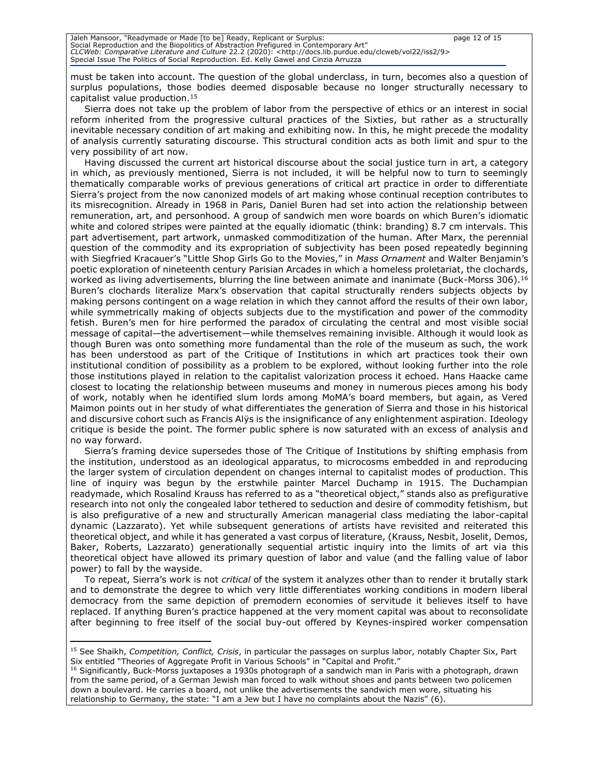must be taken into account. The question of the global underclass, in turn, becomes also a question of surplus populations, those bodies deemed disposable because no longer structurally necessary to capitalist value production.<sup>15</sup>

Sierra does not take up the problem of labor from the perspective of ethics or an interest in social reform inherited from the progressive cultural practices of the Sixties, but rather as a structurally inevitable necessary condition of art making and exhibiting now. In this, he might precede the modality of analysis currently saturating discourse. This structural condition acts as both limit and spur to the very possibility of art now.

Having discussed the current art historical discourse about the social justice turn in art, a category in which, as previously mentioned, Sierra is not included, it will be helpful now to turn to seemingly thematically comparable works of previous generations of critical art practice in order to differentiate Sierra's project from the now canonized models of art making whose continual reception contributes to its misrecognition. Already in 1968 in Paris, Daniel Buren had set into action the relationship between remuneration, art, and personhood. A group of sandwich men wore boards on which Buren's idiomatic white and colored stripes were painted at the equally idiomatic (think: branding) 8.7 cm intervals. This part advertisement, part artwork, unmasked commoditization of the human. After Marx, the perennial question of the commodity and its expropriation of subjectivity has been posed repeatedly beginning with Siegfried Kracauer's "Little Shop Girls Go to the Movies," in *Mass Ornament* and Walter Benjamin's poetic exploration of nineteenth century Parisian Arcades in which a homeless proletariat, the clochards, worked as living advertisements, blurring the line between animate and inanimate (Buck-Morss 306).<sup>16</sup> Buren's clochards literalize Marx's observation that capital structurally renders subjects objects by making persons contingent on a wage relation in which they cannot afford the results of their own labor, while symmetrically making of objects subjects due to the mystification and power of the commodity fetish. Buren's men for hire performed the paradox of circulating the central and most visible social message of capital—the advertisement—while themselves remaining invisible. Although it would look as though Buren was onto something more fundamental than the role of the museum as such, the work has been understood as part of the Critique of Institutions in which art practices took their own institutional condition of possibility as a problem to be explored, without looking further into the role those institutions played in relation to the capitalist valorization process it echoed. Hans Haacke came closest to locating the relationship between museums and money in numerous pieces among his body of work, notably when he identified slum lords among MoMA's board members, but again, as Vered Maimon points out in her study of what differentiates the generation of Sierra and those in his historical and discursive cohort such as Francis Alÿs is the insignificance of any enlightenment aspiration. Ideology critique is beside the point. The former public sphere is now saturated with an excess of analysis and no way forward.

Sierra's framing device supersedes those of The Critique of Institutions by shifting emphasis from the institution, understood as an ideological apparatus, to microcosms embedded in and reproducing the larger system of circulation dependent on changes internal to capitalist modes of production. This line of inquiry was begun by the erstwhile painter Marcel Duchamp in 1915. The Duchampian readymade, which Rosalind Krauss has referred to as a "theoretical object," stands also as prefigurative research into not only the congealed labor tethered to seduction and desire of commodity fetishism, but is also prefigurative of a new and structurally American managerial class mediating the labor-capital dynamic (Lazzarato). Yet while subsequent generations of artists have revisited and reiterated this theoretical object, and while it has generated a vast corpus of literature, (Krauss, Nesbit, Joselit, Demos, Baker, Roberts, Lazzarato) generationally sequential artistic inquiry into the limits of art via this theoretical object have allowed its primary question of labor and value (and the falling value of labor power) to fall by the wayside.

To repeat, Sierra's work is not *critical* of the system it analyzes other than to render it brutally stark and to demonstrate the degree to which very little differentiates working conditions in modern liberal democracy from the same depiction of premodern economies of servitude it believes itself to have replaced. If anything Buren's practice happened at the very moment capital was about to reconsolidate after beginning to free itself of the social buy-out offered by Keynes-inspired worker compensation

<sup>15</sup> See Shaikh, *Competition, Conflict, Crisis*, in particular the passages on surplus labor, notably Chapter Six, Part Six entitled "Theories of Aggregate Profit in Various Schools" in "Capital and Profit."

<sup>&</sup>lt;sup>16</sup> Significantly, Buck-Morss juxtaposes a 1930s photograph of a sandwich man in Paris with a photograph, drawn from the same period, of a German Jewish man forced to walk without shoes and pants between two policemen down a boulevard. He carries a board, not unlike the advertisements the sandwich men wore, situating his relationship to Germany, the state: "I am a Jew but I have no complaints about the Nazis" (6).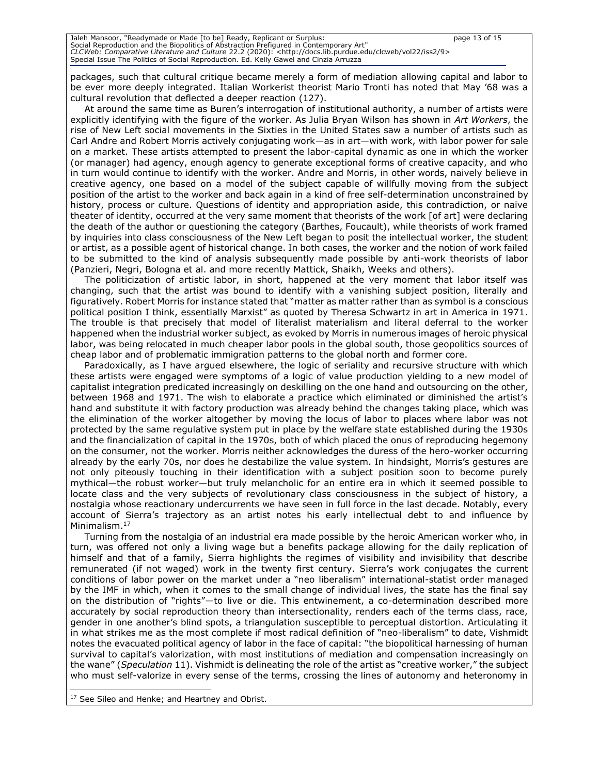Jaleh Mansoor, "Readymade or Made [to be] Ready, Replicant or Surplus: page 13 of 15 Social Reproduction and the Biopolitics of Abstraction Prefigured in Contemporary Art" *CLCWeb: Comparative Literature and Culture* 22.2 (2020): <http://docs.lib.purdue.edu/clcweb/vol22/iss2/9> Special Issue The Politics of Social Reproduction. Ed. Kelly Gawel and Cinzia Arruzza

packages, such that cultural critique became merely a form of mediation allowing capital and labor to be ever more deeply integrated. Italian Workerist theorist Mario Tronti has noted that May '68 was a cultural revolution that deflected a deeper reaction (127).

At around the same time as Buren's interrogation of institutional authority, a number of artists were explicitly identifying with the figure of the worker. As Julia Bryan Wilson has shown in *Art Workers*, the rise of New Left social movements in the Sixties in the United States saw a number of artists such as Carl Andre and Robert Morris actively conjugating work—as in art—with work, with labor power for sale on a market. These artists attempted to present the labor-capital dynamic as one in which the worker (or manager) had agency, enough agency to generate exceptional forms of creative capacity, and who in turn would continue to identify with the worker. Andre and Morris, in other words, naively believe in creative agency, one based on a model of the subject capable of willfully moving from the subject position of the artist to the worker and back again in a kind of free self-determination unconstrained by history, process or culture. Questions of identity and appropriation aside, this contradiction, or naïve theater of identity, occurred at the very same moment that theorists of the work [of art] were declaring the death of the author or questioning the category (Barthes, Foucault), while theorists of work framed by inquiries into class consciousness of the New Left began to posit the intellectual worker, the student or artist, as a possible agent of historical change. In both cases, the worker and the notion of work failed to be submitted to the kind of analysis subsequently made possible by anti-work theorists of labor (Panzieri, Negri, Bologna et al. and more recently Mattick, Shaikh, Weeks and others).

The politicization of artistic labor, in short, happened at the very moment that labor itself was changing, such that the artist was bound to identify with a vanishing subject position, literally and figuratively. Robert Morris for instance stated that "matter as matter rather than as symbol is a conscious political position I think, essentially Marxist" as quoted by Theresa Schwartz in art in America in 1971*.*  The trouble is that precisely that model of literalist materialism and literal deferral to the worker happened when the industrial worker subject, as evoked by Morris in numerous images of heroic physical labor, was being relocated in much cheaper labor pools in the global south, those geopolitics sources of cheap labor and of problematic immigration patterns to the global north and former core.

Paradoxically, as I have argued elsewhere, the logic of seriality and recursive structure with which these artists were engaged were symptoms of a logic of value production yielding to a new model of capitalist integration predicated increasingly on deskilling on the one hand and outsourcing on the other, between 1968 and 1971. The wish to elaborate a practice which eliminated or diminished the artist's hand and substitute it with factory production was already behind the changes taking place, which was the elimination of the worker altogether by moving the locus of labor to places where labor was not protected by the same regulative system put in place by the welfare state established during the 1930s and the financialization of capital in the 1970s, both of which placed the onus of reproducing hegemony on the consumer, not the worker. Morris neither acknowledges the duress of the hero-worker occurring already by the early 70s, nor does he destabilize the value system. In hindsight, Morris's gestures are not only piteously touching in their identification with a subject position soon to become purely mythical—the robust worker—but truly melancholic for an entire era in which it seemed possible to locate class and the very subjects of revolutionary class consciousness in the subject of history, a nostalgia whose reactionary undercurrents we have seen in full force in the last decade. Notably, every account of Sierra's trajectory as an artist notes his early intellectual debt to and influence by Minimalism.<sup>17</sup>

Turning from the nostalgia of an industrial era made possible by the heroic American worker who, in turn, was offered not only a living wage but a benefits package allowing for the daily replication of himself and that of a family, Sierra highlights the regimes of visibility and invisibility that describe remunerated (if not waged) work in the twenty first century. Sierra's work conjugates the current conditions of labor power on the market under a "neo liberalism" international-statist order managed by the IMF in which, when it comes to the small change of individual lives, the state has the final say on the distribution of "rights"—to live or die. This entwinement, a co-determination described more accurately by social reproduction theory than intersectionality, renders each of the terms class, race, gender in one another's blind spots, a triangulation susceptible to perceptual distortion. Articulating it in what strikes me as the most complete if most radical definition of "neo-liberalism" to date, Vishmidt notes the evacuated political agency of labor in the face of capital: "the biopolitical harnessing of human survival to capital's valorization, with most institutions of mediation and compensation increasingly on the wane" (*Speculation* 11). Vishmidt is delineating the role of the artist as "creative worker," the subject who must self-valorize in every sense of the terms, crossing the lines of autonomy and heteronomy in

<sup>17</sup> See Sileo and Henke; and Heartney and Obrist.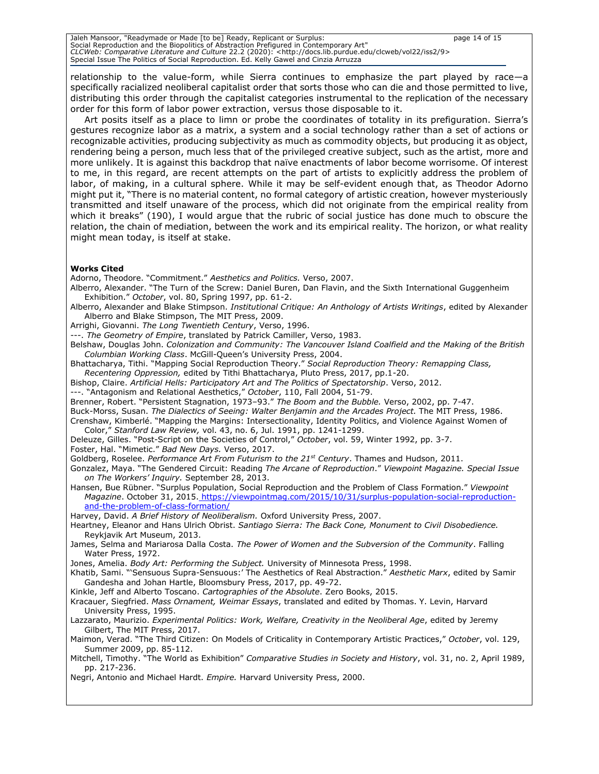Jaleh Mansoor, "Readymade or Made [to be] Ready, Replicant or Surplus: page 14 of 15 Social Reproduction and the Biopolitics of Abstraction Prefigured in Contemporary Art" *CLCWeb: Comparative Literature and Culture* 22.2 (2020): <http://docs.lib.purdue.edu/clcweb/vol22/iss2/9> Special Issue The Politics of Social Reproduction. Ed. Kelly Gawel and Cinzia Arruzza

relationship to the value-form, while Sierra continues to emphasize the part played by race—a specifically racialized neoliberal capitalist order that sorts those who can die and those permitted to live, distributing this order through the capitalist categories instrumental to the replication of the necessary order for this form of labor power extraction, versus those disposable to it.

Art posits itself as a place to limn or probe the coordinates of totality in its prefiguration. Sierra's gestures recognize labor as a matrix, a system and a social technology rather than a set of actions or recognizable activities, producing subjectivity as much as commodity objects, but producing it as object, rendering being a person, much less that of the privileged creative subject, such as the artist, more and more unlikely. It is against this backdrop that naïve enactments of labor become worrisome. Of interest to me, in this regard, are recent attempts on the part of artists to explicitly address the problem of labor, of making, in a cultural sphere. While it may be self-evident enough that, as Theodor Adorno might put it, "There is no material content, no formal category of artistic creation, however mysteriously transmitted and itself unaware of the process, which did not originate from the empirical reality from which it breaks" (190), I would argue that the rubric of social justice has done much to obscure the relation, the chain of mediation, between the work and its empirical reality. The horizon, or what reality might mean today, is itself at stake.

#### **Works Cited**

Adorno, Theodore. "Commitment." *Aesthetics and Politics.* Verso, 2007.

- Alberro, Alexander. "The Turn of the Screw: Daniel Buren, Dan Flavin, and the Sixth International Guggenheim Exhibition." *October*, vol. 80, Spring 1997, pp. 61-2.
- Alberro, Alexander and Blake Stimpson. *Institutional Critique: An Anthology of Artists Writings*, edited by Alexander Alberro and Blake Stimpson, The MIT Press, 2009.
- Arrighi, Giovanni. *The Long Twentieth Century*, Verso, 1996.

---. *The Geometry of Empire*, translated by Patrick Camiller, Verso, 1983.

- Belshaw, Douglas John. *Colonization and Community: The Vancouver Island Coalfield and the Making of the British Columbian Working Class*. McGill-Queen's University Press, 2004.
- Bhattacharya, Tithi. "Mapping Social Reproduction Theory." *Social Reproduction Theory: Remapping Class, Recentering Oppression,* edited by Tithi Bhattacharya, Pluto Press, 2017, pp.1-20.
- Bishop, Claire. *Artificial Hells: Participatory Art and The Politics of Spectatorship*. Verso, 2012.
- ---. "Antagonism and Relational Aesthetics," *October*, 110, Fall 2004, 51-79.
- Brenner, Robert. "Persistent Stagnation, 1973–93." *The Boom and the Bubble.* Verso, 2002, pp. 7-47.
- Buck-Morss, Susan. *The Dialectics of Seeing: Walter Benjamin and the Arcades Project.* The MIT Press, 1986.
- Crenshaw, Kimberlé. "Mapping the Margins: Intersectionality, Identity Politics, and Violence Against Women of Color," *Stanford Law Review,* vol. 43, no. 6, Jul. 1991, pp. 1241-1299.
- Deleuze, Gilles. "Post-Script on the Societies of Control," *October*, vol. 59, Winter 1992, pp. 3-7.
- Foster, Hal. "Mimetic." *Bad New Days.* Verso, 2017.
- Goldberg, Roselee. *Performance Art From Futurism to the 21st Century*. Thames and Hudson, 2011.
- Gonzalez, Maya. "The Gendered Circuit: Reading *The Arcane of Reproduction*." *Viewpoint Magazine. Special Issue on The Workers' Inquiry.* September 28, 2013.
- Hansen, Bue Rübner. "Surplus Population, Social Reproduction and the Problem of Class Formation." *Viewpoint Magazine*. October 31, 2015[.](https://viewpointmag.com/2015/10/31/surplus-population-social-reproduction-and-the-problem-of-class-formation/) [https://viewpointmag.com/2015/10/31/surplus-population-social-reproduction](https://viewpointmag.com/2015/10/31/surplus-population-social-reproduction-and-the-problem-of-class-formation/)[and-the-problem-of-class-formation/](https://viewpointmag.com/2015/10/31/surplus-population-social-reproduction-and-the-problem-of-class-formation/)

Harvey, David. *A Brief History of Neoliberalism.* Oxford University Press, 2007.

- Heartney, Eleanor and Hans Ulrich Obrist. *Santiago Sierra: The Back Cone, Monument to Civil Disobedience.*  Reykjavik Art Museum, 2013.
- James, Selma and Mariarosa Dalla Costa. *The Power of Women and the Subversion of the Community*. Falling Water Press, 1972.
- Jones, Amelia. *Body Art: Performing the Subject.* University of Minnesota Press, 1998.
- Khatib, Sami. "'Sensuous Supra-Sensuous:' The Aesthetics of Real Abstraction." *Aesthetic Marx*, edited by Samir Gandesha and Johan Hartle, Bloomsbury Press, 2017, pp. 49-72.
- Kinkle, Jeff and Alberto Toscano. *Cartographies of the Absolute*. Zero Books, 2015.
- Kracauer, Siegfried. *Mass Ornament, Weimar Essays*, translated and edited by Thomas. Y. Levin, Harvard University Press, 1995.
- Lazzarato, Maurizio. *Experimental Politics: Work, Welfare, Creativity in the Neoliberal Age*, edited by Jeremy Gilbert, The MIT Press, 2017.
- Maimon, Verad. "The Third Citizen: On Models of Criticality in Contemporary Artistic Practices," *October*, vol. 129, Summer 2009, pp. 85-112.
- Mitchell, Timothy. "The World as Exhibition" *Comparative Studies in Society and History*, vol. 31, no. 2, April 1989, pp. 217-236.
- Negri, Antonio and Michael Hardt. *Empire.* Harvard University Press, 2000.